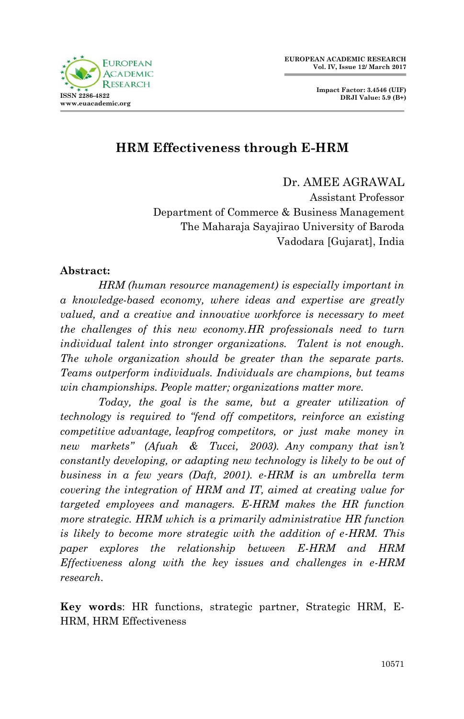

# **HRM Effectiveness through E-HRM**

Dr. AMEE AGRAWAL Assistant Professor Department of Commerce & Business Management The Maharaja Sayajirao University of Baroda Vadodara [Gujarat], India

#### **Abstract:**

*HRM (human resource management) is especially important in a knowledge-based economy, where ideas and expertise are greatly valued, and a creative and innovative workforce is necessary to meet the challenges of this new economy.HR professionals need to turn individual talent into stronger organizations. Talent is not enough. The whole organization should be greater than the separate parts. Teams outperform individuals. Individuals are champions, but teams win championships. People matter; organizations matter more.* 

*Today, the goal is the same, but a greater utilization of technology is required to "fend off competitors, reinforce an existing competitive advantage, leapfrog competitors, or just make money in new markets" (Afuah & Tucci, 2003). Any company that isn't constantly developing, or adapting new technology is likely to be out of business in a few years (Daft, 2001). e-HRM is an umbrella term covering the integration of HRM and IT, aimed at creating value for targeted employees and managers. E-HRM makes the HR function more strategic. HRM which is a primarily administrative HR function is likely to become more strategic with the addition of e-HRM. This paper explores the relationship between E-HRM and HRM Effectiveness along with the key issues and challenges in e-HRM research.*

**Key words**: HR functions, strategic partner, Strategic HRM, E-HRM, HRM Effectiveness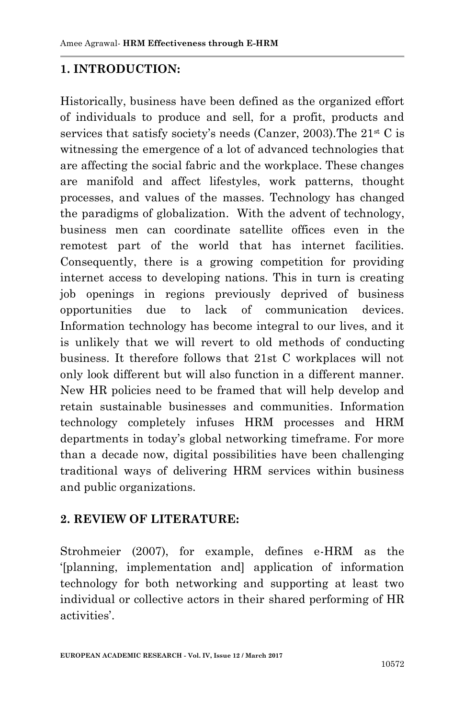### **1. INTRODUCTION:**

Historically, business have been defined as the organized effort of individuals to produce and sell, for a profit, products and services that satisfy society's needs (Canzer, 2003). The  $21<sup>st</sup>$  C is witnessing the emergence of a lot of advanced technologies that are affecting the social fabric and the workplace. These changes are manifold and affect lifestyles, work patterns, thought processes, and values of the masses. Technology has changed the paradigms of globalization. With the advent of technology, business men can coordinate satellite offices even in the remotest part of the world that has internet facilities. Consequently, there is a growing competition for providing internet access to developing nations. This in turn is creating job openings in regions previously deprived of business opportunities due to lack of communication devices. Information technology has become integral to our lives, and it is unlikely that we will revert to old methods of conducting business. It therefore follows that 21st C workplaces will not only look different but will also function in a different manner. New HR policies need to be framed that will help develop and retain sustainable businesses and communities. Information technology completely infuses HRM processes and HRM departments in today"s global networking timeframe. For more than a decade now, digital possibilities have been challenging traditional ways of delivering HRM services within business and public organizations.

#### **2. REVIEW OF LITERATURE:**

Strohmeier (2007), for example, defines e-HRM as the "[planning, implementation and] application of information technology for both networking and supporting at least two individual or collective actors in their shared performing of HR activities'.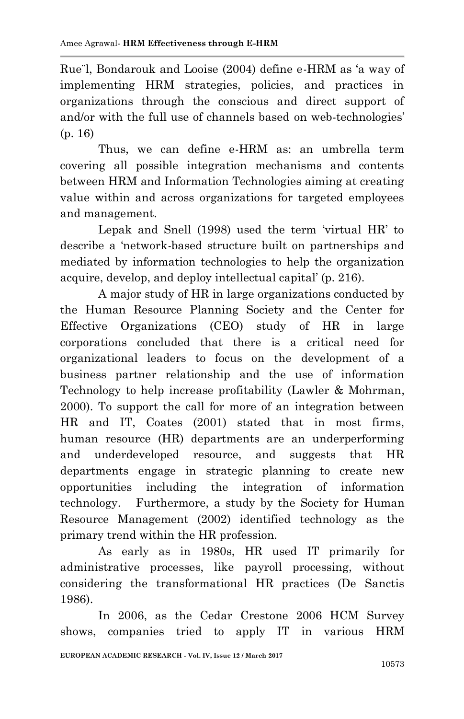Rue¨l, Bondarouk and Looise (2004) define e-HRM as "a way of implementing HRM strategies, policies, and practices in organizations through the conscious and direct support of and/or with the full use of channels based on web-technologies' (p. 16)

Thus, we can define e-HRM as: an umbrella term covering all possible integration mechanisms and contents between HRM and Information Technologies aiming at creating value within and across organizations for targeted employees and management.

Lepak and Snell (1998) used the term "virtual HR" to describe a "network-based structure built on partnerships and mediated by information technologies to help the organization acquire, develop, and deploy intellectual capital" (p. 216).

A major study of HR in large organizations conducted by the Human Resource Planning Society and the Center for Effective Organizations (CEO) study of HR in large corporations concluded that there is a critical need for organizational leaders to focus on the development of a business partner relationship and the use of information Technology to help increase profitability (Lawler & Mohrman, 2000). To support the call for more of an integration between HR and IT, Coates (2001) stated that in most firms, human resource (HR) departments are an underperforming and underdeveloped resource, and suggests that HR departments engage in strategic planning to create new opportunities including the integration of information technology. Furthermore, a study by the Society for Human Resource Management (2002) identified technology as the primary trend within the HR profession.

As early as in 1980s, HR used IT primarily for administrative processes, like payroll processing, without considering the transformational HR practices (De Sanctis 1986).

In 2006, as the Cedar Crestone 2006 HCM Survey shows, companies tried to apply IT in various HRM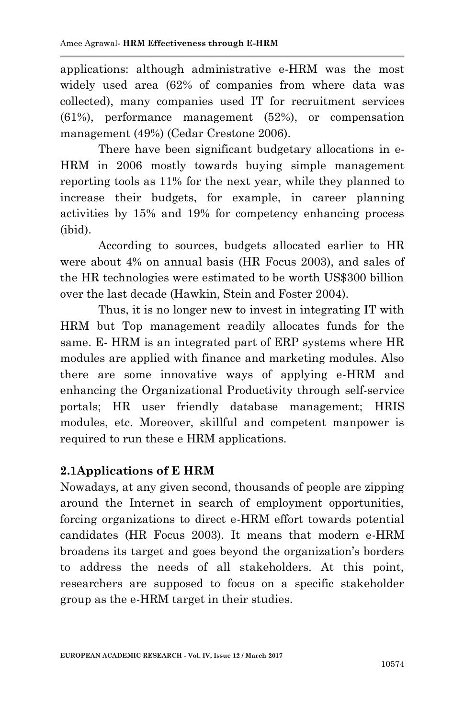applications: although administrative e-HRM was the most widely used area (62% of companies from where data was collected), many companies used IT for recruitment services (61%), performance management (52%), or compensation management (49%) (Cedar Crestone 2006).

There have been significant budgetary allocations in e-HRM in 2006 mostly towards buying simple management reporting tools as 11% for the next year, while they planned to increase their budgets, for example, in career planning activities by 15% and 19% for competency enhancing process (ibid).

According to sources, budgets allocated earlier to HR were about 4% on annual basis (HR Focus 2003), and sales of the HR technologies were estimated to be worth US\$300 billion over the last decade (Hawkin, Stein and Foster 2004).

Thus, it is no longer new to invest in integrating IT with HRM but Top management readily allocates funds for the same. E- HRM is an integrated part of ERP systems where HR modules are applied with finance and marketing modules. Also there are some innovative ways of applying e-HRM and enhancing the Organizational Productivity through self-service portals; HR user friendly database management; HRIS modules, etc. Moreover, skillful and competent manpower is required to run these e HRM applications.

# **2.1Applications of E HRM**

Nowadays, at any given second, thousands of people are zipping around the Internet in search of employment opportunities, forcing organizations to direct e-HRM effort towards potential candidates (HR Focus 2003). It means that modern e-HRM broadens its target and goes beyond the organization"s borders to address the needs of all stakeholders. At this point, researchers are supposed to focus on a specific stakeholder group as the e-HRM target in their studies.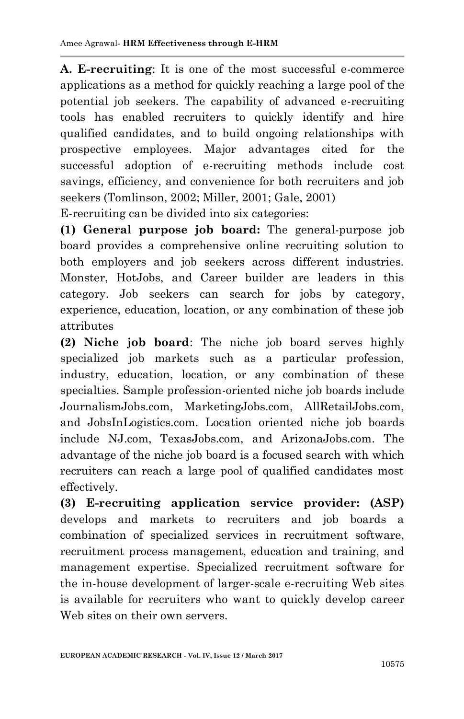**A. E-recruiting**: It is one of the most successful e-commerce applications as a method for quickly reaching a large pool of the potential job seekers. The capability of advanced e-recruiting tools has enabled recruiters to quickly identify and hire qualified candidates, and to build ongoing relationships with prospective employees. Major advantages cited for the successful adoption of e-recruiting methods include cost savings, efficiency, and convenience for both recruiters and job seekers (Tomlinson, 2002; Miller, 2001; Gale, 2001)

E-recruiting can be divided into six categories:

**(1) General purpose job board:** The general-purpose job board provides a comprehensive online recruiting solution to both employers and job seekers across different industries. Monster, HotJobs, and Career builder are leaders in this category. Job seekers can search for jobs by category, experience, education, location, or any combination of these job attributes

**(2) Niche job board**: The niche job board serves highly specialized job markets such as a particular profession, industry, education, location, or any combination of these specialties. Sample profession-oriented niche job boards include JournalismJobs.com, MarketingJobs.com, AllRetailJobs.com, and JobsInLogistics.com. Location oriented niche job boards include NJ.com, TexasJobs.com, and ArizonaJobs.com. The advantage of the niche job board is a focused search with which recruiters can reach a large pool of qualified candidates most effectively.

**(3) E-recruiting application service provider: (ASP)** develops and markets to recruiters and job boards a combination of specialized services in recruitment software, recruitment process management, education and training, and management expertise. Specialized recruitment software for the in-house development of larger-scale e-recruiting Web sites is available for recruiters who want to quickly develop career Web sites on their own servers.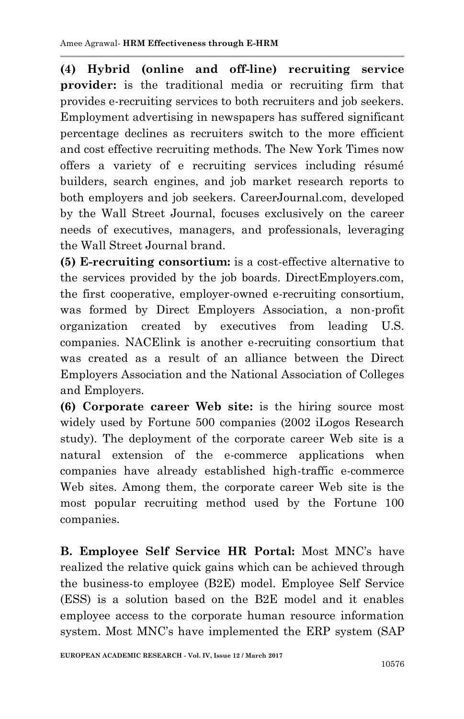**(4) Hybrid (online and off-line) recruiting service provider:** is the traditional media or recruiting firm that provides e-recruiting services to both recruiters and job seekers. Employment advertising in newspapers has suffered significant percentage declines as recruiters switch to the more efficient and cost effective recruiting methods. The New York Times now offers a variety of e recruiting services including résumé builders, search engines, and job market research reports to both employers and job seekers. CareerJournal.com, developed by the Wall Street Journal, focuses exclusively on the career needs of executives, managers, and professionals, leveraging the Wall Street Journal brand.

**(5) E-recruiting consortium:** is a cost-effective alternative to the services provided by the job boards. DirectEmployers.com, the first cooperative, employer-owned e-recruiting consortium, was formed by Direct Employers Association, a non-profit organization created by executives from leading U.S. companies. NACElink is another e-recruiting consortium that was created as a result of an alliance between the Direct Employers Association and the National Association of Colleges and Employers.

**(6) Corporate career Web site:** is the hiring source most widely used by Fortune 500 companies (2002 iLogos Research study). The deployment of the corporate career Web site is a natural extension of the e-commerce applications when companies have already established high-traffic e-commerce Web sites. Among them, the corporate career Web site is the most popular recruiting method used by the Fortune 100 companies.

**B. Employee Self Service HR Portal:** Most MNC"s have realized the relative quick gains which can be achieved through the business-to employee (B2E) model. Employee Self Service (ESS) is a solution based on the B2E model and it enables employee access to the corporate human resource information system. Most MNC"s have implemented the ERP system (SAP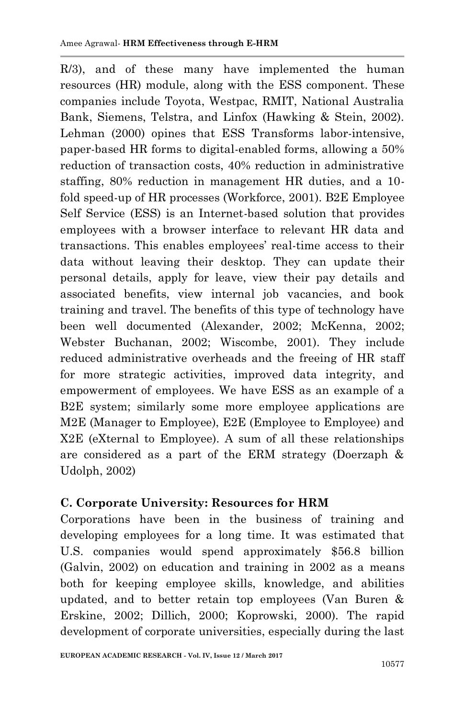R/3), and of these many have implemented the human resources (HR) module, along with the ESS component. These companies include Toyota, Westpac, RMIT, National Australia Bank, Siemens, Telstra, and Linfox (Hawking & Stein, 2002). Lehman (2000) opines that ESS Transforms labor-intensive, paper-based HR forms to digital-enabled forms, allowing a 50% reduction of transaction costs, 40% reduction in administrative staffing, 80% reduction in management HR duties, and a 10 fold speed-up of HR processes (Workforce, 2001). B2E Employee Self Service (ESS) is an Internet-based solution that provides employees with a browser interface to relevant HR data and transactions. This enables employees" real-time access to their data without leaving their desktop. They can update their personal details, apply for leave, view their pay details and associated benefits, view internal job vacancies, and book training and travel. The benefits of this type of technology have been well documented (Alexander, 2002; McKenna, 2002; Webster Buchanan, 2002; Wiscombe, 2001). They include reduced administrative overheads and the freeing of HR staff for more strategic activities, improved data integrity, and empowerment of employees. We have ESS as an example of a B2E system; similarly some more employee applications are M2E (Manager to Employee), E2E (Employee to Employee) and X2E (eXternal to Employee). A sum of all these relationships are considered as a part of the ERM strategy (Doerzaph & Udolph, 2002)

# **C. Corporate University: Resources for HRM**

Corporations have been in the business of training and developing employees for a long time. It was estimated that U.S. companies would spend approximately \$56.8 billion (Galvin, 2002) on education and training in 2002 as a means both for keeping employee skills, knowledge, and abilities updated, and to better retain top employees (Van Buren & Erskine, 2002; Dillich, 2000; Koprowski, 2000). The rapid development of corporate universities, especially during the last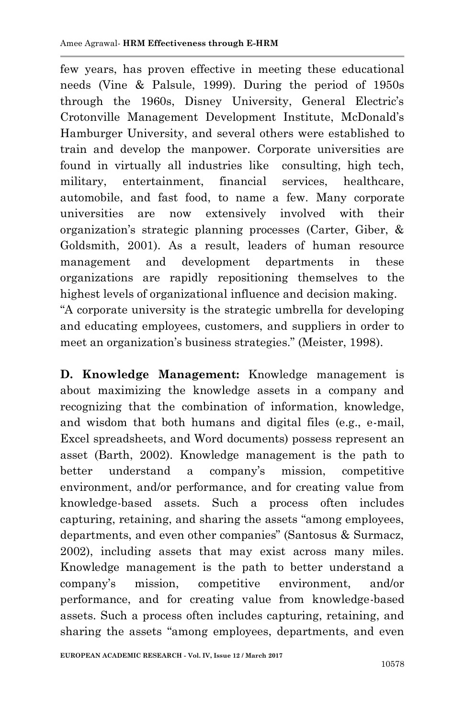few years, has proven effective in meeting these educational needs (Vine & Palsule, 1999). During the period of 1950s through the 1960s, Disney University, General Electric's Crotonville Management Development Institute, McDonald"s Hamburger University, and several others were established to train and develop the manpower. Corporate universities are found in virtually all industries like consulting, high tech, military, entertainment, financial services, healthcare, automobile, and fast food, to name a few. Many corporate universities are now extensively involved with their organization"s strategic planning processes (Carter, Giber, & Goldsmith, 2001). As a result, leaders of human resource management and development departments in these organizations are rapidly repositioning themselves to the highest levels of organizational influence and decision making. "A corporate university is the strategic umbrella for developing and educating employees, customers, and suppliers in order to meet an organization"s business strategies." (Meister, 1998).

**D. Knowledge Management:** Knowledge management is about maximizing the knowledge assets in a company and recognizing that the combination of information, knowledge, and wisdom that both humans and digital files (e.g., e-mail, Excel spreadsheets, and Word documents) possess represent an asset (Barth, 2002). Knowledge management is the path to better understand a company's mission, competitive environment, and/or performance, and for creating value from knowledge-based assets. Such a process often includes capturing, retaining, and sharing the assets "among employees, departments, and even other companies" (Santosus & Surmacz, 2002), including assets that may exist across many miles. Knowledge management is the path to better understand a company"s mission, competitive environment, and/or performance, and for creating value from knowledge-based assets. Such a process often includes capturing, retaining, and sharing the assets "among employees, departments, and even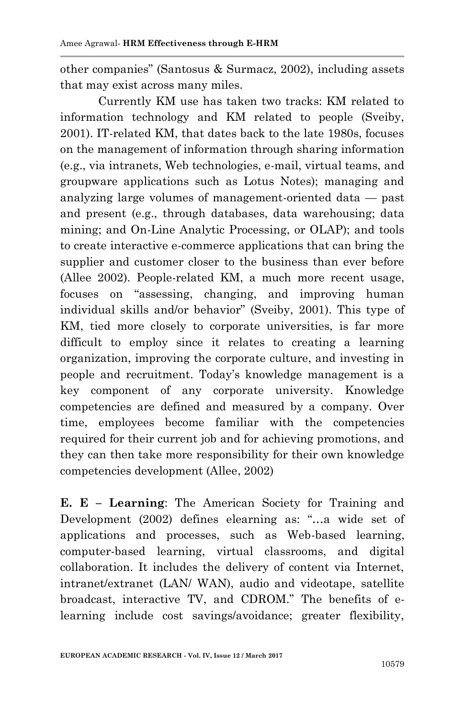other companies" (Santosus & Surmacz, 2002), including assets that may exist across many miles.

Currently KM use has taken two tracks: KM related to information technology and KM related to people (Sveiby, 2001). IT-related KM, that dates back to the late 1980s, focuses on the management of information through sharing information (e.g., via intranets, Web technologies, e-mail, virtual teams, and groupware applications such as Lotus Notes); managing and analyzing large volumes of management-oriented data — past and present (e.g., through databases, data warehousing; data mining; and On-Line Analytic Processing, or OLAP); and tools to create interactive e-commerce applications that can bring the supplier and customer closer to the business than ever before (Allee 2002). People-related KM, a much more recent usage, focuses on "assessing, changing, and improving human individual skills and/or behavior" (Sveiby, 2001). This type of KM, tied more closely to corporate universities, is far more difficult to employ since it relates to creating a learning organization, improving the corporate culture, and investing in people and recruitment. Today"s knowledge management is a key component of any corporate university. Knowledge competencies are defined and measured by a company. Over time, employees become familiar with the competencies required for their current job and for achieving promotions, and they can then take more responsibility for their own knowledge competencies development (Allee, 2002)

**E. E – Learning**: The American Society for Training and Development (2002) defines elearning as: "…a wide set of applications and processes, such as Web-based learning, computer-based learning, virtual classrooms, and digital collaboration. It includes the delivery of content via Internet, intranet/extranet (LAN/ WAN), audio and videotape, satellite broadcast, interactive TV, and CDROM." The benefits of elearning include cost savings/avoidance; greater flexibility,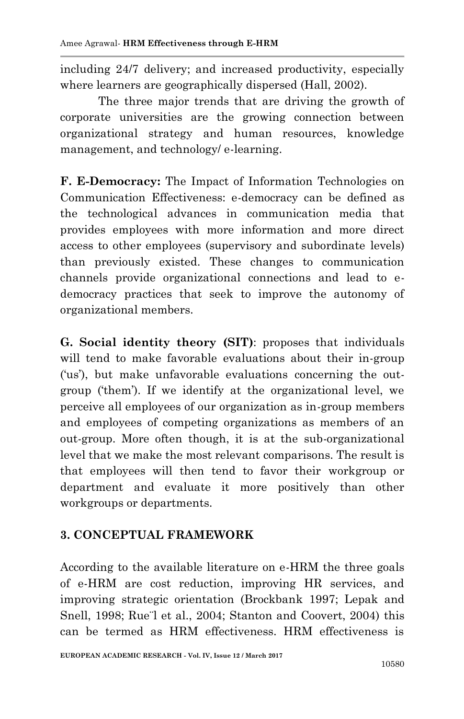including 24/7 delivery; and increased productivity, especially where learners are geographically dispersed (Hall, 2002).

The three major trends that are driving the growth of corporate universities are the growing connection between organizational strategy and human resources, knowledge management, and technology/ e-learning.

**F. E-Democracy:** The Impact of Information Technologies on Communication Effectiveness: e-democracy can be defined as the technological advances in communication media that provides employees with more information and more direct access to other employees (supervisory and subordinate levels) than previously existed. These changes to communication channels provide organizational connections and lead to edemocracy practices that seek to improve the autonomy of organizational members.

**G. Social identity theory (SIT)**: proposes that individuals will tend to make favorable evaluations about their in-group ('us'), but make unfavorable evaluations concerning the outgroup ('them'). If we identify at the organizational level, we perceive all employees of our organization as in-group members and employees of competing organizations as members of an out-group. More often though, it is at the sub-organizational level that we make the most relevant comparisons. The result is that employees will then tend to favor their workgroup or department and evaluate it more positively than other workgroups or departments.

# **3. CONCEPTUAL FRAMEWORK**

According to the available literature on e-HRM the three goals of e-HRM are cost reduction, improving HR services, and improving strategic orientation (Brockbank 1997; Lepak and Snell, 1998; Rue<sup>-1</sup> et al., 2004; Stanton and Coovert, 2004) this can be termed as HRM effectiveness. HRM effectiveness is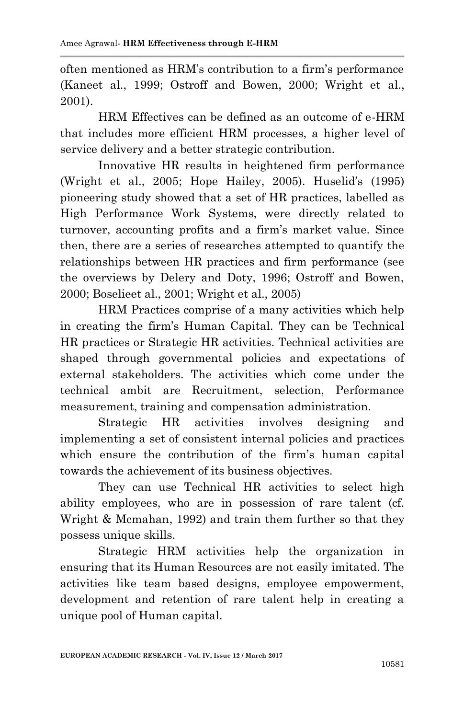often mentioned as HRM"s contribution to a firm"s performance (Kaneet al., 1999; Ostroff and Bowen, 2000; Wright et al., 2001).

HRM Effectives can be defined as an outcome of e-HRM that includes more efficient HRM processes, a higher level of service delivery and a better strategic contribution.

Innovative HR results in heightened firm performance (Wright et al., 2005; Hope Hailey, 2005). Huselid's (1995) pioneering study showed that a set of HR practices, labelled as High Performance Work Systems, were directly related to turnover, accounting profits and a firm"s market value. Since then, there are a series of researches attempted to quantify the relationships between HR practices and firm performance (see the overviews by Delery and Doty, 1996; Ostroff and Bowen, 2000; Boselieet al., 2001; Wright et al., 2005)

HRM Practices comprise of a many activities which help in creating the firm"s Human Capital. They can be Technical HR practices or Strategic HR activities. Technical activities are shaped through governmental policies and expectations of external stakeholders. The activities which come under the technical ambit are Recruitment, selection, Performance measurement, training and compensation administration.

Strategic HR activities involves designing and implementing a set of consistent internal policies and practices which ensure the contribution of the firm's human capital towards the achievement of its business objectives.

They can use Technical HR activities to select high ability employees, who are in possession of rare talent (cf. Wright & Mcmahan, 1992) and train them further so that they possess unique skills.

Strategic HRM activities help the organization in ensuring that its Human Resources are not easily imitated. The activities like team based designs, employee empowerment, development and retention of rare talent help in creating a unique pool of Human capital.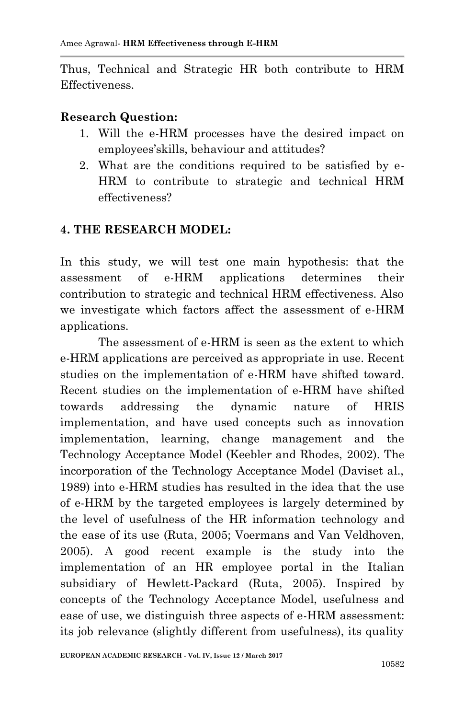Thus, Technical and Strategic HR both contribute to HRM Effectiveness.

#### **Research Question:**

- 1. Will the e-HRM processes have the desired impact on employees"skills, behaviour and attitudes?
- 2. What are the conditions required to be satisfied by e-HRM to contribute to strategic and technical HRM effectiveness?

### **4. THE RESEARCH MODEL:**

In this study, we will test one main hypothesis: that the assessment of e-HRM applications determines their contribution to strategic and technical HRM effectiveness. Also we investigate which factors affect the assessment of e-HRM applications.

The assessment of e-HRM is seen as the extent to which e-HRM applications are perceived as appropriate in use. Recent studies on the implementation of e-HRM have shifted toward. Recent studies on the implementation of e-HRM have shifted towards addressing the dynamic nature of HRIS implementation, and have used concepts such as innovation implementation, learning, change management and the Technology Acceptance Model (Keebler and Rhodes, 2002). The incorporation of the Technology Acceptance Model (Daviset al., 1989) into e-HRM studies has resulted in the idea that the use of e-HRM by the targeted employees is largely determined by the level of usefulness of the HR information technology and the ease of its use (Ruta, 2005; Voermans and Van Veldhoven, 2005). A good recent example is the study into the implementation of an HR employee portal in the Italian subsidiary of Hewlett-Packard (Ruta, 2005). Inspired by concepts of the Technology Acceptance Model, usefulness and ease of use, we distinguish three aspects of e-HRM assessment: its job relevance (slightly different from usefulness), its quality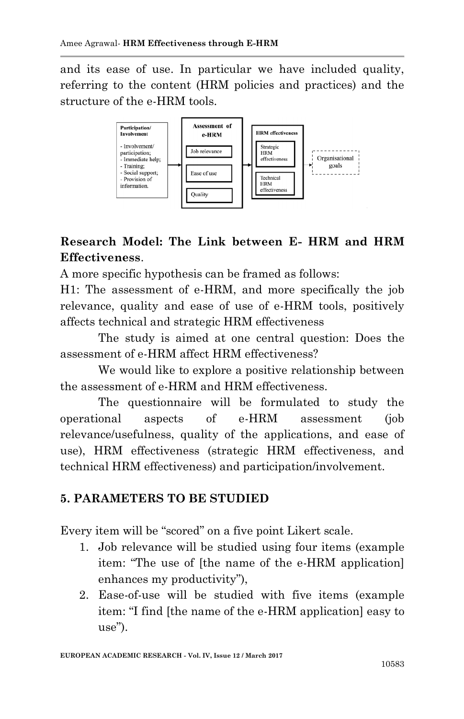and its ease of use. In particular we have included quality, referring to the content (HRM policies and practices) and the structure of the e-HRM tools.



# **Research Model: The Link between E- HRM and HRM Effectiveness**.

A more specific hypothesis can be framed as follows:

H1: The assessment of e-HRM, and more specifically the job relevance, quality and ease of use of e-HRM tools, positively affects technical and strategic HRM effectiveness

The study is aimed at one central question: Does the assessment of e-HRM affect HRM effectiveness?

We would like to explore a positive relationship between the assessment of e-HRM and HRM effectiveness.

The questionnaire will be formulated to study the operational aspects of e-HRM assessment (job relevance/usefulness, quality of the applications, and ease of use), HRM effectiveness (strategic HRM effectiveness, and technical HRM effectiveness) and participation/involvement.

# **5. PARAMETERS TO BE STUDIED**

Every item will be "scored" on a five point Likert scale.

- 1. Job relevance will be studied using four items (example item: "The use of [the name of the e-HRM application] enhances my productivity"),
- 2. Ease-of-use will be studied with five items (example item: "I find [the name of the e-HRM application] easy to use").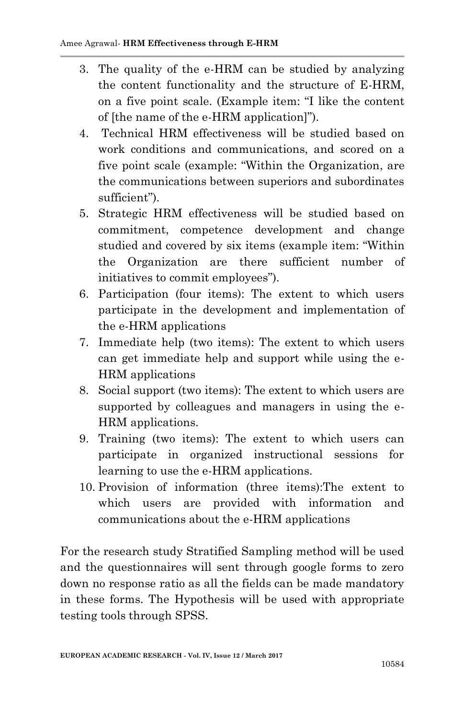- 3. The quality of the e-HRM can be studied by analyzing the content functionality and the structure of E-HRM, on a five point scale. (Example item: "I like the content of [the name of the e-HRM application]").
- 4. Technical HRM effectiveness will be studied based on work conditions and communications, and scored on a five point scale (example: "Within the Organization, are the communications between superiors and subordinates sufficient").
- 5. Strategic HRM effectiveness will be studied based on commitment, competence development and change studied and covered by six items (example item: "Within the Organization are there sufficient number of initiatives to commit employees").
- 6. Participation (four items): The extent to which users participate in the development and implementation of the e-HRM applications
- 7. Immediate help (two items): The extent to which users can get immediate help and support while using the e-HRM applications
- 8. Social support (two items): The extent to which users are supported by colleagues and managers in using the e-HRM applications.
- 9. Training (two items): The extent to which users can participate in organized instructional sessions for learning to use the e-HRM applications.
- 10. Provision of information (three items):The extent to which users are provided with information and communications about the e-HRM applications

For the research study Stratified Sampling method will be used and the questionnaires will sent through google forms to zero down no response ratio as all the fields can be made mandatory in these forms. The Hypothesis will be used with appropriate testing tools through SPSS.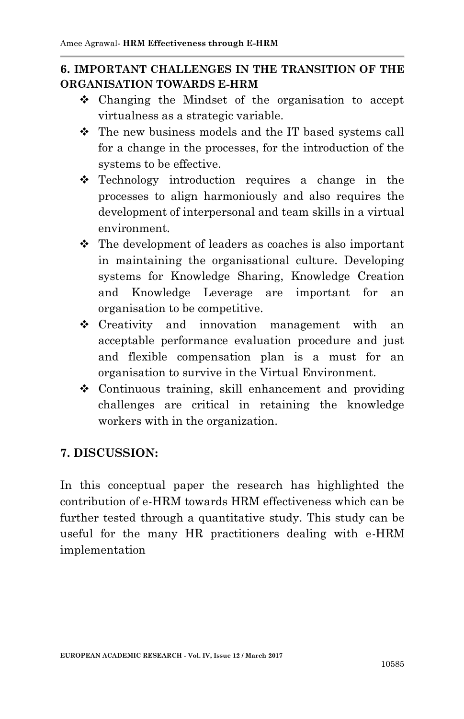### **6. IMPORTANT CHALLENGES IN THE TRANSITION OF THE ORGANISATION TOWARDS E-HRM**

- Changing the Mindset of the organisation to accept virtualness as a strategic variable.
- The new business models and the IT based systems call for a change in the processes, for the introduction of the systems to be effective.
- Technology introduction requires a change in the processes to align harmoniously and also requires the development of interpersonal and team skills in a virtual environment.
- $\div$  The development of leaders as coaches is also important in maintaining the organisational culture. Developing systems for Knowledge Sharing, Knowledge Creation and Knowledge Leverage are important for an organisation to be competitive.
- Creativity and innovation management with an acceptable performance evaluation procedure and just and flexible compensation plan is a must for an organisation to survive in the Virtual Environment.
- Continuous training, skill enhancement and providing challenges are critical in retaining the knowledge workers with in the organization.

# **7. DISCUSSION:**

In this conceptual paper the research has highlighted the contribution of e-HRM towards HRM effectiveness which can be further tested through a quantitative study. This study can be useful for the many HR practitioners dealing with e-HRM implementation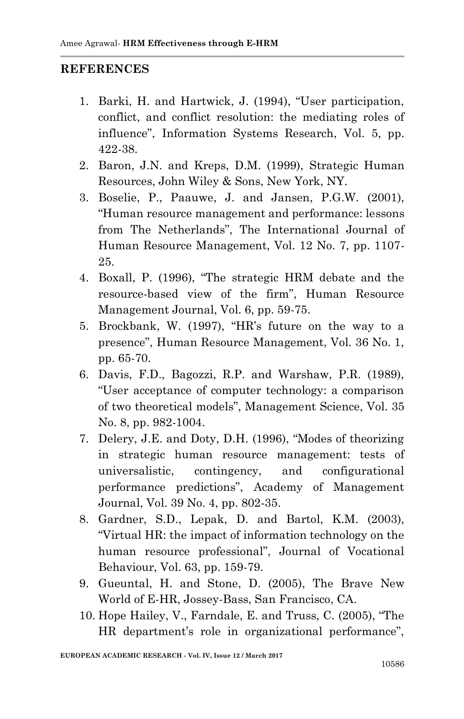#### **REFERENCES**

- 1. Barki, H. and Hartwick, J. (1994), "User participation, conflict, and conflict resolution: the mediating roles of influence", Information Systems Research, Vol. 5, pp. 422-38.
- 2. Baron, J.N. and Kreps, D.M. (1999), Strategic Human Resources, John Wiley & Sons, New York, NY.
- 3. Boselie, P., Paauwe, J. and Jansen, P.G.W. (2001), "Human resource management and performance: lessons from The Netherlands", The International Journal of Human Resource Management, Vol. 12 No. 7, pp. 1107- 25.
- 4. Boxall, P. (1996), "The strategic HRM debate and the resource-based view of the firm", Human Resource Management Journal, Vol. 6, pp. 59-75.
- 5. Brockbank, W. (1997), "HR"s future on the way to a presence", Human Resource Management, Vol. 36 No. 1, pp. 65-70.
- 6. Davis, F.D., Bagozzi, R.P. and Warshaw, P.R. (1989), "User acceptance of computer technology: a comparison of two theoretical models", Management Science, Vol. 35 No. 8, pp. 982-1004.
- 7. Delery, J.E. and Doty, D.H. (1996), "Modes of theorizing in strategic human resource management: tests of universalistic, contingency, and configurational performance predictions", Academy of Management Journal, Vol. 39 No. 4, pp. 802-35.
- 8. Gardner, S.D., Lepak, D. and Bartol, K.M. (2003), "Virtual HR: the impact of information technology on the human resource professional", Journal of Vocational Behaviour, Vol. 63, pp. 159-79.
- 9. Gueuntal, H. and Stone, D. (2005), The Brave New World of E-HR, Jossey-Bass, San Francisco, CA.
- 10. Hope Hailey, V., Farndale, E. and Truss, C. (2005), "The HR department's role in organizational performance",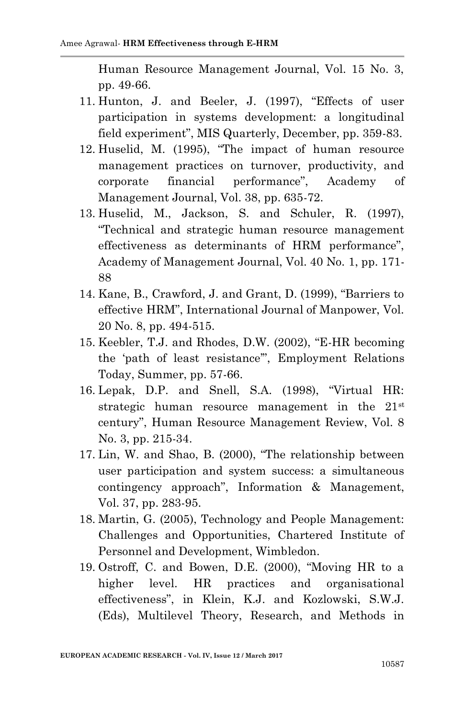Human Resource Management Journal, Vol. 15 No. 3, pp. 49-66.

- 11. Hunton, J. and Beeler, J. (1997), "Effects of user participation in systems development: a longitudinal field experiment", MIS Quarterly, December, pp. 359-83.
- 12. Huselid, M. (1995), "The impact of human resource management practices on turnover, productivity, and corporate financial performance", Academy of Management Journal, Vol. 38, pp. 635-72.
- 13. Huselid, M., Jackson, S. and Schuler, R. (1997), "Technical and strategic human resource management effectiveness as determinants of HRM performance", Academy of Management Journal, Vol. 40 No. 1, pp. 171- 88
- 14. Kane, B., Crawford, J. and Grant, D. (1999), "Barriers to effective HRM", International Journal of Manpower, Vol. 20 No. 8, pp. 494-515.
- 15. Keebler, T.J. and Rhodes, D.W. (2002), "E-HR becoming the "path of least resistance"", Employment Relations Today, Summer, pp. 57-66.
- 16. Lepak, D.P. and Snell, S.A. (1998), "Virtual HR: strategic human resource management in the 21<sup>st</sup> century", Human Resource Management Review, Vol. 8 No. 3, pp. 215-34.
- 17. Lin, W. and Shao, B. (2000), "The relationship between user participation and system success: a simultaneous contingency approach", Information & Management, Vol. 37, pp. 283-95.
- 18. Martin, G. (2005), Technology and People Management: Challenges and Opportunities, Chartered Institute of Personnel and Development, Wimbledon.
- 19. Ostroff, C. and Bowen, D.E. (2000), "Moving HR to a higher level. HR practices and organisational effectiveness", in Klein, K.J. and Kozlowski, S.W.J. (Eds), Multilevel Theory, Research, and Methods in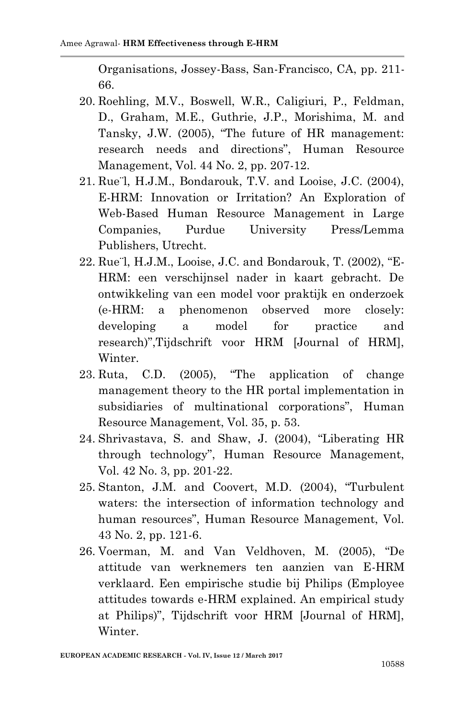Organisations, Jossey-Bass, San-Francisco, CA, pp. 211- 66.

- 20. Roehling, M.V., Boswell, W.R., Caligiuri, P., Feldman, D., Graham, M.E., Guthrie, J.P., Morishima, M. and Tansky, J.W. (2005), "The future of HR management: research needs and directions", Human Resource Management, Vol. 44 No. 2, pp. 207-12.
- 21. Rue¨l, H.J.M., Bondarouk, T.V. and Looise, J.C. (2004), E-HRM: Innovation or Irritation? An Exploration of Web-Based Human Resource Management in Large Companies, Purdue University Press/Lemma Publishers, Utrecht.
- 22. Rue¨l, H.J.M., Looise, J.C. and Bondarouk, T. (2002), "E-HRM: een verschijnsel nader in kaart gebracht. De ontwikkeling van een model voor praktijk en onderzoek (e-HRM: a phenomenon observed more closely: developing a model for practice and research)",Tijdschrift voor HRM [Journal of HRM], Winter.
- 23. Ruta, C.D. (2005), "The application of change management theory to the HR portal implementation in subsidiaries of multinational corporations", Human Resource Management, Vol. 35, p. 53.
- 24. Shrivastava, S. and Shaw, J. (2004), "Liberating HR through technology", Human Resource Management, Vol. 42 No. 3, pp. 201-22.
- 25. Stanton, J.M. and Coovert, M.D. (2004), "Turbulent waters: the intersection of information technology and human resources", Human Resource Management, Vol. 43 No. 2, pp. 121-6.
- 26. Voerman, M. and Van Veldhoven, M. (2005), "De attitude van werknemers ten aanzien van E-HRM verklaard. Een empirische studie bij Philips (Employee attitudes towards e-HRM explained. An empirical study at Philips)", Tijdschrift voor HRM [Journal of HRM], Winter.